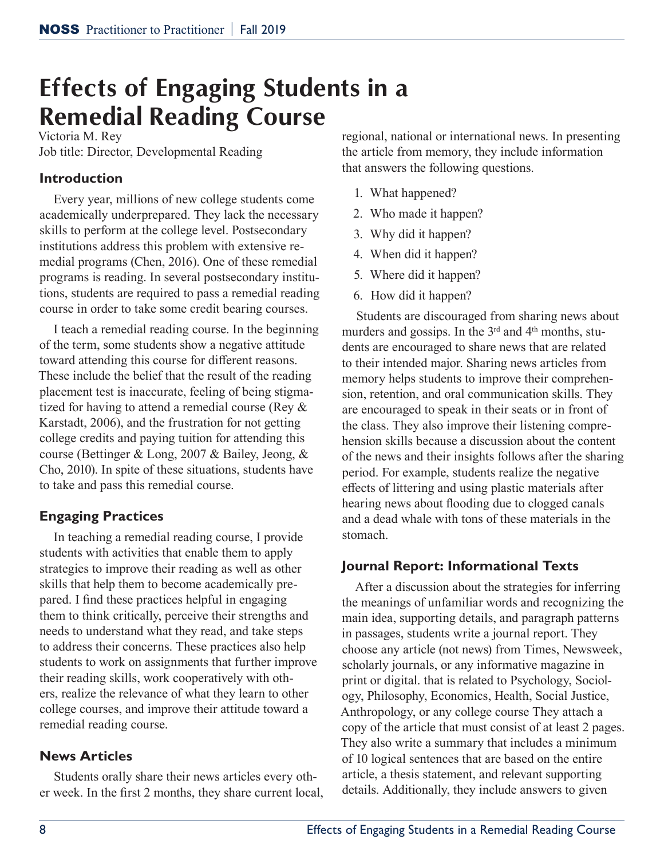# **Effects of Engaging Students in a Remedial Reading Course**

Victoria M. Rey Job title: Director, Developmental Reading

## **Introduction**

Every year, millions of new college students come academically underprepared. They lack the necessary skills to perform at the college level. Postsecondary institutions address this problem with extensive remedial programs (Chen, 2016). One of these remedial programs is reading. In several postsecondary institutions, students are required to pass a remedial reading course in order to take some credit bearing courses.

I teach a remedial reading course. In the beginning of the term, some students show a negative attitude toward attending this course for different reasons. These include the belief that the result of the reading placement test is inaccurate, feeling of being stigmatized for having to attend a remedial course (Rey & Karstadt, 2006), and the frustration for not getting college credits and paying tuition for attending this course (Bettinger & Long, 2007 & Bailey, Jeong, & Cho, 2010). In spite of these situations, students have to take and pass this remedial course.

# **Engaging Practices**

In teaching a remedial reading course, I provide students with activities that enable them to apply strategies to improve their reading as well as other skills that help them to become academically prepared. I find these practices helpful in engaging them to think critically, perceive their strengths and needs to understand what they read, and take steps to address their concerns. These practices also help students to work on assignments that further improve their reading skills, work cooperatively with others, realize the relevance of what they learn to other college courses, and improve their attitude toward a remedial reading course.

# **News Articles**

Students orally share their news articles every other week. In the first 2 months, they share current local, regional, national or international news. In presenting the article from memory, they include information that answers the following questions.

- 1. What happened?
- 2. Who made it happen?
- 3. Why did it happen?
- 4. When did it happen?
- 5. Where did it happen?
- 6. How did it happen?

Students are discouraged from sharing news about murders and gossips. In the  $3<sup>rd</sup>$  and  $4<sup>th</sup>$  months, students are encouraged to share news that are related to their intended major. Sharing news articles from memory helps students to improve their comprehension, retention, and oral communication skills. They are encouraged to speak in their seats or in front of the class. They also improve their listening comprehension skills because a discussion about the content of the news and their insights follows after the sharing period. For example, students realize the negative effects of littering and using plastic materials after hearing news about flooding due to clogged canals and a dead whale with tons of these materials in the stomach.

## **Journal Report: Informational Texts**

After a discussion about the strategies for inferring the meanings of unfamiliar words and recognizing the main idea, supporting details, and paragraph patterns in passages, students write a journal report. They choose any article (not news) from Times, Newsweek, scholarly journals, or any informative magazine in print or digital. that is related to Psychology, Sociology, Philosophy, Economics, Health, Social Justice, Anthropology, or any college course They attach a copy of the article that must consist of at least 2 pages. They also write a summary that includes a minimum of 10 logical sentences that are based on the entire article, a thesis statement, and relevant supporting details. Additionally, they include answers to given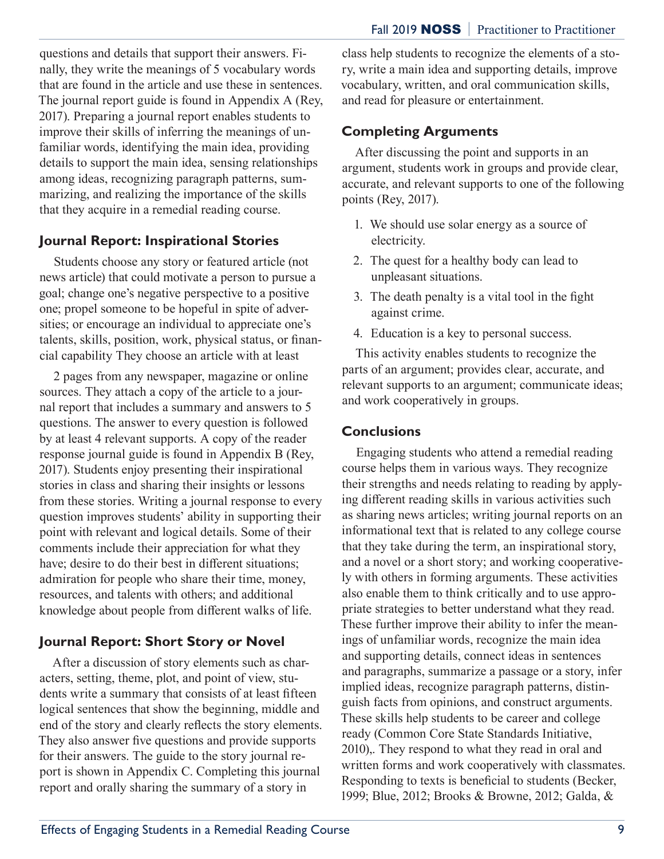questions and details that support their answers. Finally, they write the meanings of 5 vocabulary words that are found in the article and use these in sentences. The journal report guide is found in Appendix A (Rey, 2017). Preparing a journal report enables students to improve their skills of inferring the meanings of unfamiliar words, identifying the main idea, providing details to support the main idea, sensing relationships among ideas, recognizing paragraph patterns, summarizing, and realizing the importance of the skills that they acquire in a remedial reading course.

## **Journal Report: Inspirational Stories**

Students choose any story or featured article (not news article) that could motivate a person to pursue a goal; change one's negative perspective to a positive one; propel someone to be hopeful in spite of adversities; or encourage an individual to appreciate one's talents, skills, position, work, physical status, or financial capability They choose an article with at least

2 pages from any newspaper, magazine or online sources. They attach a copy of the article to a journal report that includes a summary and answers to 5 questions. The answer to every question is followed by at least 4 relevant supports. A copy of the reader response journal guide is found in Appendix B (Rey, 2017). Students enjoy presenting their inspirational stories in class and sharing their insights or lessons from these stories. Writing a journal response to every question improves students' ability in supporting their point with relevant and logical details. Some of their comments include their appreciation for what they have; desire to do their best in different situations; admiration for people who share their time, money, resources, and talents with others; and additional knowledge about people from different walks of life.

# **Journal Report: Short Story or Novel**

After a discussion of story elements such as characters, setting, theme, plot, and point of view, students write a summary that consists of at least fifteen logical sentences that show the beginning, middle and end of the story and clearly reflects the story elements. They also answer five questions and provide supports for their answers. The guide to the story journal report is shown in Appendix C. Completing this journal report and orally sharing the summary of a story in

class help students to recognize the elements of a story, write a main idea and supporting details, improve vocabulary, written, and oral communication skills, and read for pleasure or entertainment.

# **Completing Arguments**

After discussing the point and supports in an argument, students work in groups and provide clear, accurate, and relevant supports to one of the following points (Rey, 2017).

- 1. We should use solar energy as a source of electricity.
- 2. The quest for a healthy body can lead to unpleasant situations.
- 3. The death penalty is a vital tool in the fight against crime.
- 4. Education is a key to personal success.

This activity enables students to recognize the parts of an argument; provides clear, accurate, and relevant supports to an argument; communicate ideas; and work cooperatively in groups.

## **Conclusions**

Engaging students who attend a remedial reading course helps them in various ways. They recognize their strengths and needs relating to reading by applying different reading skills in various activities such as sharing news articles; writing journal reports on an informational text that is related to any college course that they take during the term, an inspirational story, and a novel or a short story; and working cooperatively with others in forming arguments. These activities also enable them to think critically and to use appropriate strategies to better understand what they read. These further improve their ability to infer the meanings of unfamiliar words, recognize the main idea and supporting details, connect ideas in sentences and paragraphs, summarize a passage or a story, infer implied ideas, recognize paragraph patterns, distinguish facts from opinions, and construct arguments. These skills help students to be career and college ready (Common Core State Standards Initiative, 2010),. They respond to what they read in oral and written forms and work cooperatively with classmates. Responding to texts is beneficial to students (Becker, 1999; Blue, 2012; Brooks & Browne, 2012; Galda, &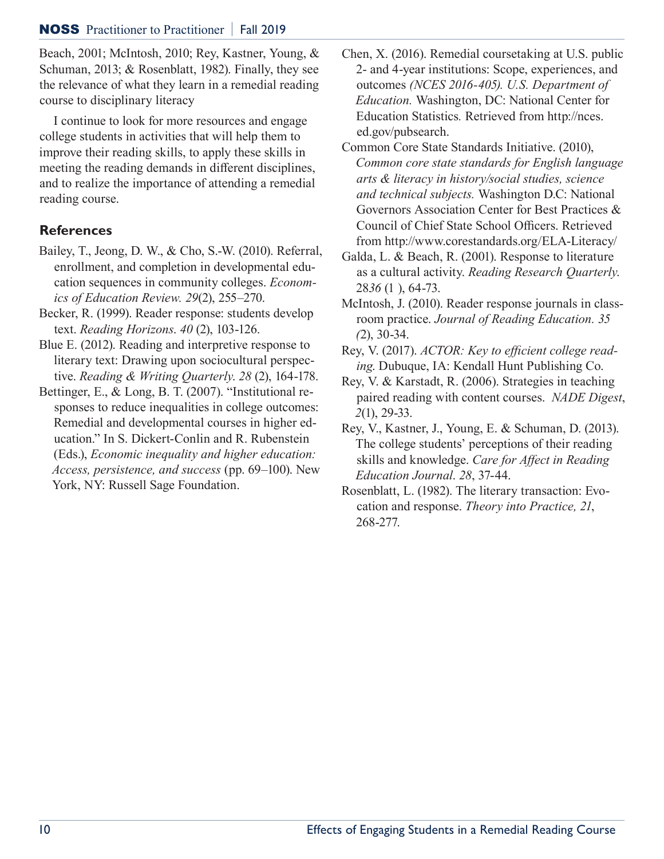#### NOSS Practitioner to Practitioner **|** Fall 2019

Beach, 2001; McIntosh, 2010; Rey, Kastner, Young, & Schuman, 2013; & Rosenblatt, 1982). Finally, they see the relevance of what they learn in a remedial reading course to disciplinary literacy

I continue to look for more resources and engage college students in activities that will help them to improve their reading skills, to apply these skills in meeting the reading demands in different disciplines, and to realize the importance of attending a remedial reading course.

## **References**

- Bailey, T., Jeong, D. W., & Cho, S.-W. (2010). Referral, enrollment, and completion in developmental education sequences in community colleges. *Economics of Education Review. 29*(2), 255–270.
- Becker, R. (1999). Reader response: students develop text. *Reading Horizons*. *40* (2), 103-126.
- Blue E. (2012). Reading and interpretive response to literary text: Drawing upon sociocultural perspective. *Reading & Writing Quarterly*. *28* (2), 164-178.
- Bettinger, E., & Long, B. T. (2007). "Institutional responses to reduce inequalities in college outcomes: Remedial and developmental courses in higher education." In S. Dickert-Conlin and R. Rubenstein (Eds.), *Economic inequality and higher education: Access, persistence, and success* (pp. 69–100). New York, NY: Russell Sage Foundation.
- Chen, X. (2016). Remedial coursetaking at U.S. public 2- and 4-year institutions: Scope, experiences, and outcomes *(NCES 2016-405). U.S. Department of Education.* Washington, DC: National Center for Education Statistics*.* Retrieved from http://nces. ed.gov/pubsearch.
- Common Core State Standards Initiative. (2010), *Common core state standards for English language arts & literacy in history/social studies, science and technical subjects.* Washington D.C: National Governors Association Center for Best Practices & Council of Chief State School Officers. Retrieved from http://www.corestandards.org/ELA-Literacy/
- Galda, L. & Beach, R. (2001). Response to literature as a cultural activity. *Reading Research Quarterly*. 28*36* (1 ), 64-73.
- McIntosh, J. (2010). Reader response journals in classroom practice. *Journal of Reading Education. 35 (*2), 30-34.
- Rey, V. (2017). *ACTOR: Key to efficient college reading*. Dubuque, IA: Kendall Hunt Publishing Co.
- Rey, V. & Karstadt, R. (2006). Strategies in teaching paired reading with content courses. *NADE Digest*, *2*(1), 29-33.
- Rey, V., Kastner, J., Young, E. & Schuman, D. (2013). The college students' perceptions of their reading skills and knowledge. *Care for Affect in Reading Education Journal*. *28*, 37-44.
- Rosenblatt, L. (1982). The literary transaction: Evocation and response. *Theory into Practice, 21*, 268-277.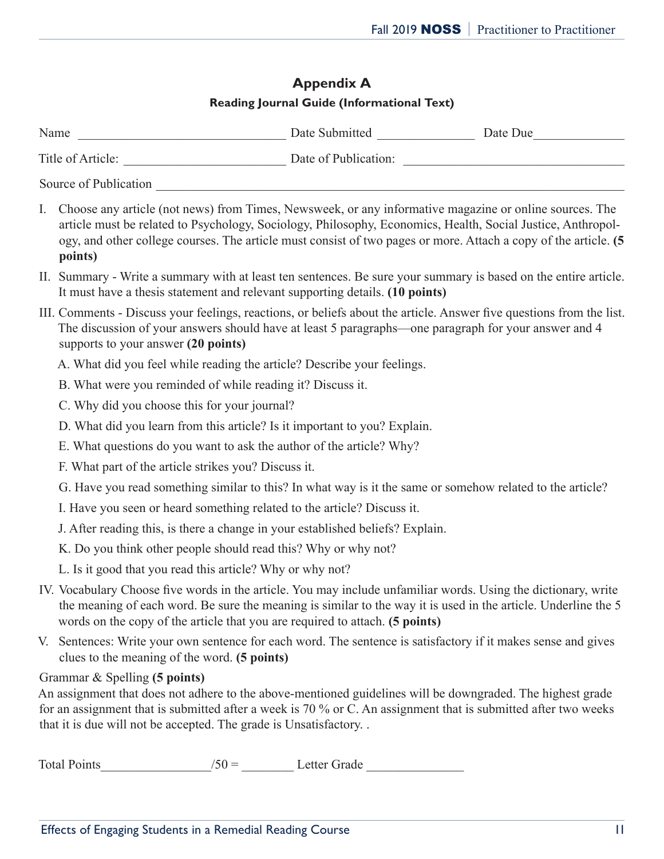## **Appendix A**

## **Reading Journal Guide (Informational Text)**

|                       | Date Submitted Due Due Due<br>Name                                                                                                                                                                                                                                                                                                                     |  |  |  |
|-----------------------|--------------------------------------------------------------------------------------------------------------------------------------------------------------------------------------------------------------------------------------------------------------------------------------------------------------------------------------------------------|--|--|--|
|                       |                                                                                                                                                                                                                                                                                                                                                        |  |  |  |
| Source of Publication |                                                                                                                                                                                                                                                                                                                                                        |  |  |  |
|                       | I. Choose any article (not news) from Times, Newsweek, or any informative magazine or online sources. The<br>article must be related to Psychology, Sociology, Philosophy, Economics, Health, Social Justice, Anthropol-<br>ogy, and other college courses. The article must consist of two pages or more. Attach a copy of the article. (5<br>points) |  |  |  |
|                       | II. Summary - Write a summary with at least ten sentences. Be sure your summary is based on the entire article.<br>It must have a thesis statement and relevant supporting details. (10 points)                                                                                                                                                        |  |  |  |
|                       | III. Comments - Discuss your feelings, reactions, or beliefs about the article. Answer five questions from the list.<br>The discussion of your answers should have at least 5 paragraphs—one paragraph for your answer and 4<br>supports to your answer (20 points)                                                                                    |  |  |  |
|                       | A. What did you feel while reading the article? Describe your feelings.                                                                                                                                                                                                                                                                                |  |  |  |
|                       | B. What were you reminded of while reading it? Discuss it.                                                                                                                                                                                                                                                                                             |  |  |  |
|                       | C. Why did you choose this for your journal?                                                                                                                                                                                                                                                                                                           |  |  |  |
|                       | D. What did you learn from this article? Is it important to you? Explain.                                                                                                                                                                                                                                                                              |  |  |  |
|                       | E. What questions do you want to ask the author of the article? Why?                                                                                                                                                                                                                                                                                   |  |  |  |
|                       | F. What part of the article strikes you? Discuss it.                                                                                                                                                                                                                                                                                                   |  |  |  |
|                       | G. Have you read something similar to this? In what way is it the same or somehow related to the article?                                                                                                                                                                                                                                              |  |  |  |
|                       | I. Have you seen or heard something related to the article? Discuss it.                                                                                                                                                                                                                                                                                |  |  |  |
|                       | J. After reading this, is there a change in your established beliefs? Explain.                                                                                                                                                                                                                                                                         |  |  |  |
|                       | K. Do you think other people should read this? Why or why not?                                                                                                                                                                                                                                                                                         |  |  |  |
|                       | L. Is it good that you read this article? Why or why not?                                                                                                                                                                                                                                                                                              |  |  |  |
|                       | IV. Vocabulary Choose five words in the article. You may include unfamiliar words. Using the dictionary, write<br>the meaning of each word. Be sure the meaning is similar to the way it is used in the article. Underline the 5<br>words on the copy of the article that you are required to attach. (5 points)                                       |  |  |  |
|                       | V. Sentences: Write your own sentence for each word. The sentence is satisfactory if it makes sense and gives<br>clues to the meaning of the word. (5 points)                                                                                                                                                                                          |  |  |  |
|                       | Grammar & Spelling (5 points)<br>An assignment that does not adhere to the above-mentioned guidelines will be downgraded. The highest grade<br>for an assignment that is submitted after a week is 70 % or C. An assignment that is submitted after two weeks<br>that it is due will not be accepted. The grade is Unsatisfactory. .                   |  |  |  |

Total Points  $\frac{1}{50} = \frac{1}{20}$  Letter Grade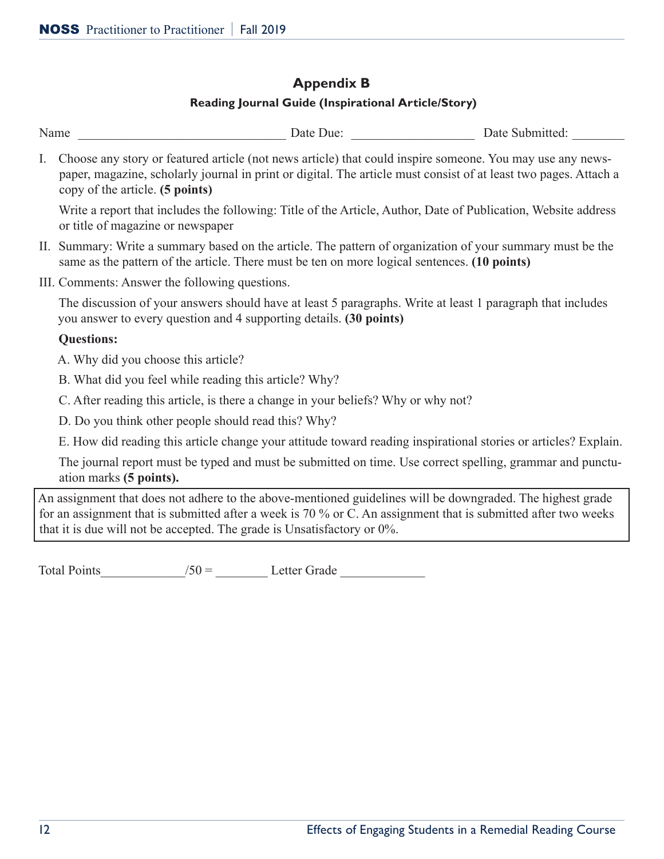# **Appendix B**

#### **Reading Journal Guide (Inspirational Article/Story)**

| $\mathbf{v}$<br>Narrt | . J11e | лят |
|-----------------------|--------|-----|
|                       |        |     |

I. Choose any story or featured article (not news article) that could inspire someone. You may use any newspaper, magazine, scholarly journal in print or digital. The article must consist of at least two pages. Attach a copy of the article. **(5 points)**

Write a report that includes the following: Title of the Article, Author, Date of Publication, Website address or title of magazine or newspaper

- II. Summary: Write a summary based on the article. The pattern of organization of your summary must be the same as the pattern of the article. There must be ten on more logical sentences. **(10 points)**
- III. Comments: Answer the following questions.

The discussion of your answers should have at least 5 paragraphs. Write at least 1 paragraph that includes you answer to every question and 4 supporting details. **(30 points)**

#### **Questions:**

A. Why did you choose this article?

- B. What did you feel while reading this article? Why?
- C. After reading this article, is there a change in your beliefs? Why or why not?

D. Do you think other people should read this? Why?

E. How did reading this article change your attitude toward reading inspirational stories or articles? Explain.

The journal report must be typed and must be submitted on time. Use correct spelling, grammar and punctuation marks **(5 points).**

An assignment that does not adhere to the above-mentioned guidelines will be downgraded. The highest grade for an assignment that is submitted after a week is 70 % or C. An assignment that is submitted after two weeks that it is due will not be accepted. The grade is Unsatisfactory or 0%.

Total Points  $/50 =$  Letter Grade